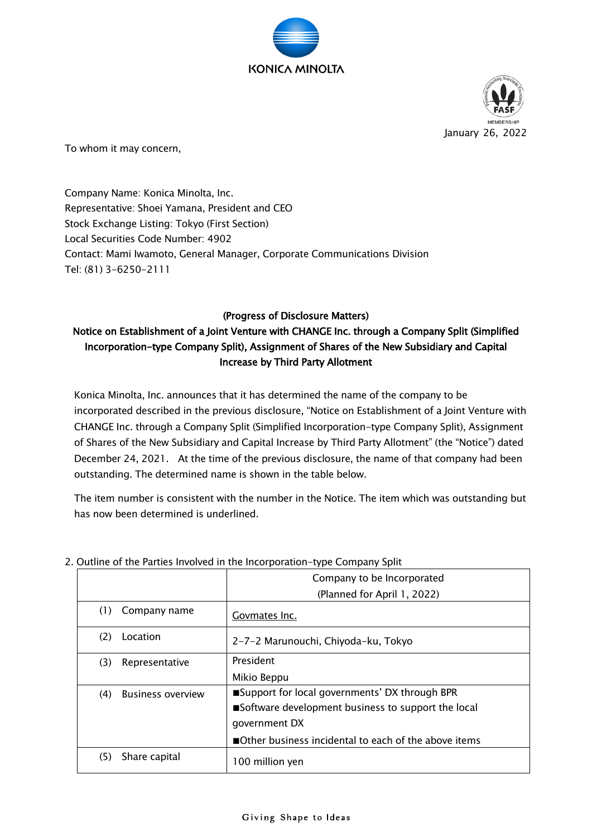



To whom it may concern,

Company Name: Konica Minolta, Inc. Representative: Shoei Yamana, President and CEO Stock Exchange Listing: Tokyo (First Section) Local Securities Code Number: 4902 Contact: Mami Iwamoto, General Manager, Corporate Communications Division Tel: (81) 3-6250-2111

## (Progress of Disclosure Matters)

## Notice on Establishment of a Joint Venture with CHANGE Inc. through a Company Split (Simplified Incorporation-type Company Split), Assignment of Shares of the New Subsidiary and Capital Increase by Third Party Allotment

Konica Minolta, Inc. announces that it has determined the name of the company to be incorporated described in the previous disclosure, "Notice on Establishment of a Joint Venture with CHANGE Inc. through a Company Split (Simplified Incorporation-type Company Split), Assignment of Shares of the New Subsidiary and Capital Increase by Third Party Allotment" (the "Notice") dated December 24, 2021. At the time of the previous disclosure, the name of that company had been outstanding. The determined name is shown in the table below.

The item number is consistent with the number in the Notice. The item which was outstanding but has now been determined is underlined.

|                                 | Company to be Incorporated                           |
|---------------------------------|------------------------------------------------------|
|                                 | (Planned for April 1, 2022)                          |
| Company name<br>(1)             | Govmates Inc.                                        |
| Location<br>(2)                 | 2-7-2 Marunouchi, Chiyoda-ku, Tokyo                  |
| (3)<br>Representative           | President                                            |
|                                 | Mikio Beppu                                          |
| (4)<br><b>Business overview</b> | ■Support for local governments' DX through BPR       |
|                                 | ■Software development business to support the local  |
|                                 | government DX                                        |
|                                 | Other business incidental to each of the above items |
| Share capital<br>(5)            | 100 million yen                                      |

## 2. Outline of the Parties Involved in the Incorporation-type Company Split